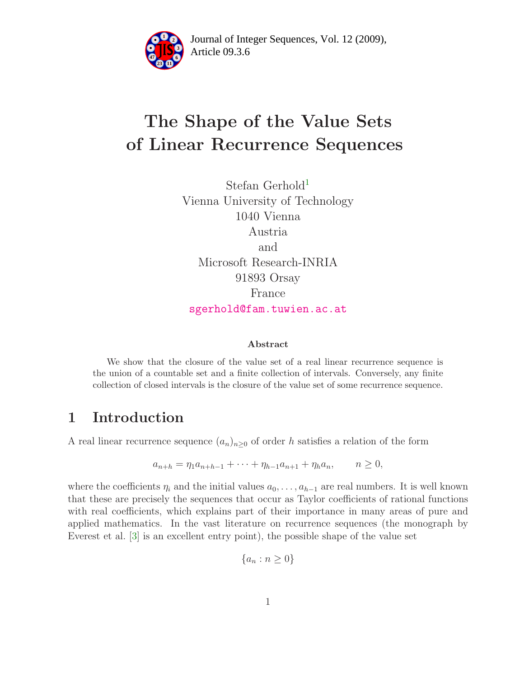

Article 09.3.6 **<sup>2</sup>** Journal of Integer Sequences, Vol. 12 (2009),

# The Shape of the Value Sets of Linear Recurrence Sequences

Stefan Gerhold<sup>1</sup> Vienna University of Technology 1040 Vienna Austria and Microsoft Research-INRIA 91893 Orsay France [sgerhold@fam.tuwien.ac.at](mailto:sgerhold@fam.tuwien.ac.at)

#### Abstract

We show that the closure of the value set of a real linear recurrence sequence is the union of a countable set and a finite collection of intervals. Conversely, any finite collection of closed intervals is the closure of the value set of some recurrence sequence.

## 1 Introduction

A real linear recurrence sequence  $(a_n)_{n>0}$  of order h satisfies a relation of the form

$$
a_{n+h} = \eta_1 a_{n+h-1} + \dots + \eta_{h-1} a_{n+1} + \eta_h a_n, \qquad n \ge 0,
$$

where the coefficients  $\eta_i$  and the initial values  $a_0, \ldots, a_{h-1}$  are real numbers. It is well known that these are precisely the sequences that occur as Taylor coefficients of rational functions with real coefficients, which explains part of their importance in many areas of pure and applied mathematics. In the vast literature on recurrence sequences (the monograph by Everest et al. [\[3\]](#page-3-0) is an excellent entry point), the possible shape of the value set

$$
\{a_n : n \ge 0\}
$$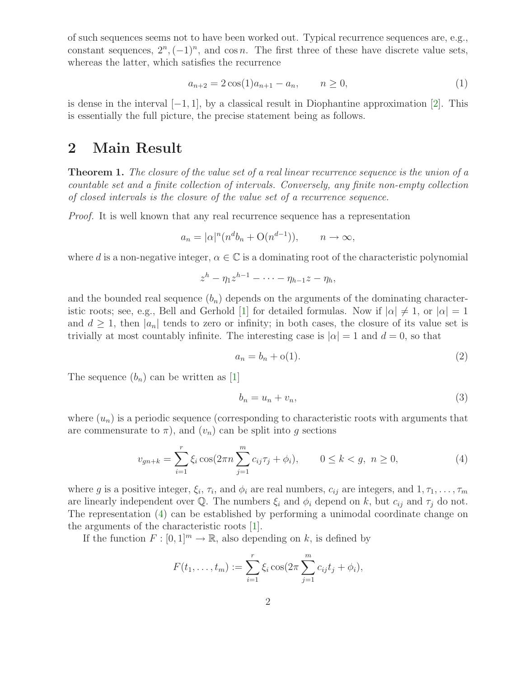of such sequences seems not to have been worked out. Typical recurrence sequences are, e.g., constant sequences,  $2^n, (-1)^n$ , and cos n. The first three of these have discrete value sets, whereas the latter, which satisfies the recurrence

<span id="page-1-3"></span>
$$
a_{n+2} = 2\cos(1)a_{n+1} - a_n, \qquad n \ge 0,
$$
\n(1)

is dense in the interval  $[-1, 1]$ , by a classical result in Diophantine approximation [\[2\]](#page-3-1). This is essentially the full picture, the precise statement being as follows.

#### 2 Main Result

**Theorem 1.** The closure of the value set of a real linear recurrence sequence is the union of a countable set and a finite collection of intervals. Conversely, any finite non-empty collection of closed intervals is the closure of the value set of a recurrence sequence.

Proof. It is well known that any real recurrence sequence has a representation

$$
a_n = |\alpha|^n (n^d b_n + \mathcal{O}(n^{d-1})), \qquad n \to \infty,
$$

where d is a non-negative integer,  $\alpha \in \mathbb{C}$  is a dominating root of the characteristic polynomial

$$
z^h-\eta_1z^{h-1}-\cdots-\eta_{h-1}z-\eta_h,
$$

and the bounded real sequence  $(b_n)$  depends on the arguments of the dominating character-istic roots; see, e.g., Bell and Gerhold [\[1\]](#page-3-2) for detailed formulas. Now if  $|\alpha| \neq 1$ , or  $|\alpha| = 1$ and  $d \geq 1$ , then  $|a_n|$  tends to zero or infinity; in both cases, the closure of its value set is trivially at most countably infinite. The interesting case is  $|\alpha|=1$  and  $d=0$ , so that

<span id="page-1-2"></span><span id="page-1-1"></span>
$$
a_n = b_n + o(1). \tag{2}
$$

The sequence  $(b_n)$  can be written as [\[1\]](#page-3-2)

<span id="page-1-0"></span>
$$
b_n = u_n + v_n,\tag{3}
$$

where  $(u_n)$  is a periodic sequence (corresponding to characteristic roots with arguments that are commensurate to  $\pi$ ), and  $(v_n)$  can be split into g sections

$$
v_{gn+k} = \sum_{i=1}^{r} \xi_i \cos(2\pi n \sum_{j=1}^{m} c_{ij} \tau_j + \phi_i), \qquad 0 \le k < g, \ n \ge 0,\tag{4}
$$

where g is a positive integer,  $\xi_i$ ,  $\tau_i$ , and  $\phi_i$  are real numbers,  $c_{ij}$  are integers, and  $1, \tau_1, \ldots, \tau_m$ are linearly independent over Q. The numbers  $\xi_i$  and  $\phi_i$  depend on k, but  $c_{ij}$  and  $\tau_j$  do not. The representation [\(4\)](#page-1-0) can be established by performing a unimodal coordinate change on the arguments of the characteristic roots [\[1\]](#page-3-2).

If the function  $F : [0,1]^m \to \mathbb{R}$ , also depending on k, is defined by

$$
F(t_1,...,t_m) := \sum_{i=1}^r \xi_i \cos(2\pi \sum_{j=1}^m c_{ij} t_j + \phi_i),
$$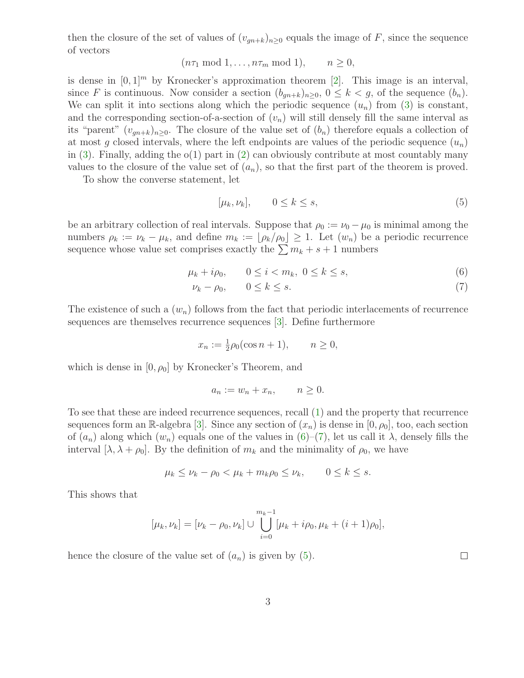then the closure of the set of values of  $(v_{qn+k})_{n\geq 0}$  equals the image of F, since the sequence of vectors

 $(n\tau_1 \mod 1, \ldots, n\tau_m \mod 1), \quad n \geq 0,$ 

is dense in  $[0, 1]^m$  by Kronecker's approximation theorem [\[2\]](#page-3-1). This image is an interval, since F is continuous. Now consider a section  $(b_{qn+k})_{n\geq 0}$ ,  $0 \leq k < g$ , of the sequence  $(b_n)$ . We can split it into sections along which the periodic sequence  $(u_n)$  from [\(3\)](#page-1-1) is constant, and the corresponding section-of-a-section of  $(v_n)$  will still densely fill the same interval as its "parent"  $(v_{gn+k})_{n\geq 0}$ . The closure of the value set of  $(b_n)$  therefore equals a collection of at most g closed intervals, where the left endpoints are values of the periodic sequence  $(u_n)$ in  $(3)$ . Finally, adding the  $o(1)$  part in  $(2)$  can obviously contribute at most countably many values to the closure of the value set of  $(a_n)$ , so that the first part of the theorem is proved.

To show the converse statement, let

<span id="page-2-2"></span><span id="page-2-1"></span><span id="page-2-0"></span>
$$
[\mu_k, \nu_k], \qquad 0 \le k \le s,\tag{5}
$$

be an arbitrary collection of real intervals. Suppose that  $\rho_0 := \nu_0 - \mu_0$  is minimal among the numbers  $\rho_k := \nu_k - \mu_k$ , and define  $m_k := \lfloor \rho_k / \rho_0 \rfloor \geq 1$ . Let  $(w_n)$  be a periodic recurrence sequence whose value set comprises exactly the  $\sum m_k + s + 1$  numbers

$$
\mu_k + i\rho_0, \qquad 0 \le i < m_k, \ 0 \le k \le s,\tag{6}
$$

$$
\nu_k - \rho_0, \qquad 0 \le k \le s. \tag{7}
$$

The existence of such a  $(w_n)$  follows from the fact that periodic interlacements of recurrence sequences are themselves recurrence sequences [\[3\]](#page-3-0). Define furthermore

$$
x_n := \frac{1}{2}\rho_0(\cos n + 1), \qquad n \ge 0,
$$

which is dense in  $[0, \rho_0]$  by Kronecker's Theorem, and

$$
a_n := w_n + x_n, \qquad n \ge 0.
$$

To see that these are indeed recurrence sequences, recall [\(1\)](#page-1-3) and the property that recurrence sequences form an R-algebra [\[3\]](#page-3-0). Since any section of  $(x_n)$  is dense in  $[0, \rho_0]$ , too, each section of  $(a_n)$  along which  $(w_n)$  equals one of the values in  $(6)-(7)$  $(6)-(7)$ , let us call it  $\lambda$ , densely fills the interval  $[\lambda, \lambda + \rho_0]$ . By the definition of  $m_k$  and the minimality of  $\rho_0$ , we have

$$
\mu_k \le \nu_k - \rho_0 < \mu_k + m_k \rho_0 \le \nu_k, \qquad 0 \le k \le s.
$$

This shows that

$$
[\mu_k, \nu_k] = [\nu_k - \rho_0, \nu_k] \cup \bigcup_{i=0}^{m_k - 1} [\mu_k + i\rho_0, \mu_k + (i+1)\rho_0],
$$

hence the closure of the value set of  $(a_n)$  is given by  $(5)$ .

 $\Box$